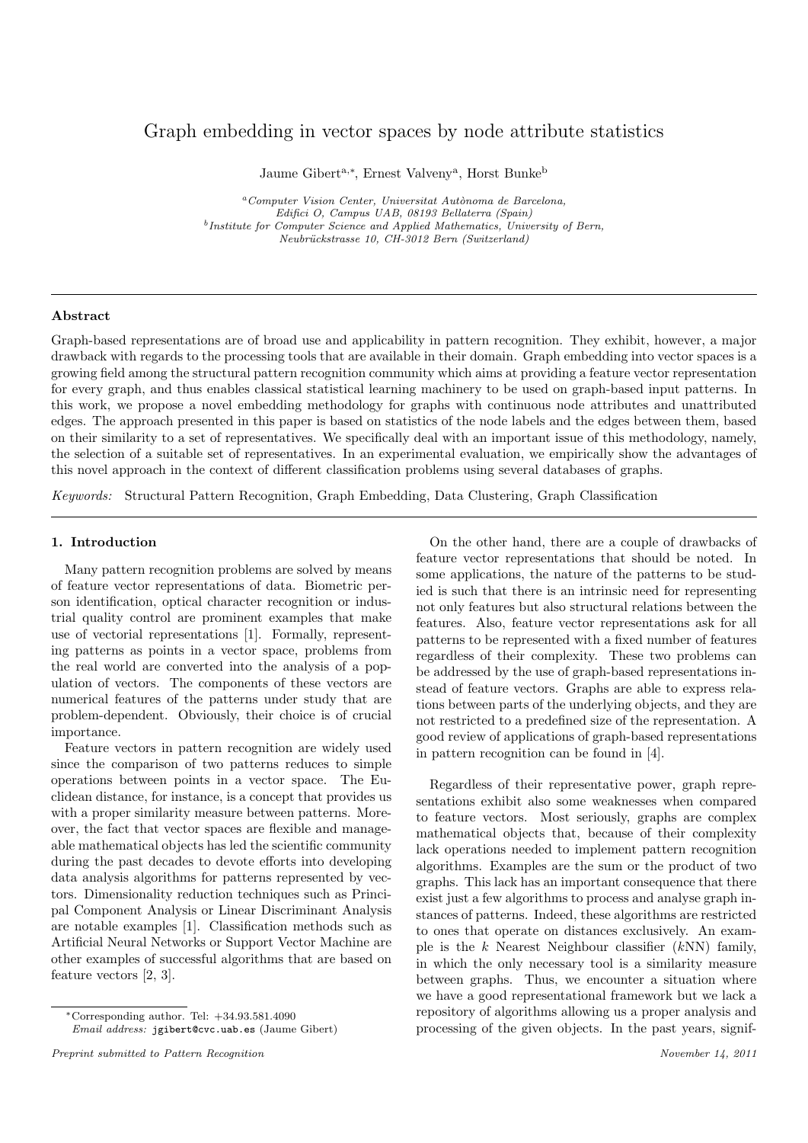# Graph embedding in vector spaces by node attribute statistics

Jaume Gibert<sup>a,∗</sup>, Ernest Valveny<sup>a</sup>, Horst Bunke<sup>b</sup>

 $a$ Computer Vision Center, Universitat Autònoma de Barcelona, Edifici O, Campus UAB, 08193 Bellaterra (Spain) <sup>b</sup>Institute for Computer Science and Applied Mathematics, University of Bern, Neubrückstrasse 10, CH-3012 Bern (Switzerland)

## Abstract

Graph-based representations are of broad use and applicability in pattern recognition. They exhibit, however, a major drawback with regards to the processing tools that are available in their domain. Graph embedding into vector spaces is a growing field among the structural pattern recognition community which aims at providing a feature vector representation for every graph, and thus enables classical statistical learning machinery to be used on graph-based input patterns. In this work, we propose a novel embedding methodology for graphs with continuous node attributes and unattributed edges. The approach presented in this paper is based on statistics of the node labels and the edges between them, based on their similarity to a set of representatives. We specifically deal with an important issue of this methodology, namely, the selection of a suitable set of representatives. In an experimental evaluation, we empirically show the advantages of this novel approach in the context of different classification problems using several databases of graphs.

Keywords: Structural Pattern Recognition, Graph Embedding, Data Clustering, Graph Classification

## 1. Introduction

Many pattern recognition problems are solved by means of feature vector representations of data. Biometric person identification, optical character recognition or industrial quality control are prominent examples that make use of vectorial representations [1]. Formally, representing patterns as points in a vector space, problems from the real world are converted into the analysis of a population of vectors. The components of these vectors are numerical features of the patterns under study that are problem-dependent. Obviously, their choice is of crucial importance.

Feature vectors in pattern recognition are widely used since the comparison of two patterns reduces to simple operations between points in a vector space. The Euclidean distance, for instance, is a concept that provides us with a proper similarity measure between patterns. Moreover, the fact that vector spaces are flexible and manageable mathematical objects has led the scientific community during the past decades to devote efforts into developing data analysis algorithms for patterns represented by vectors. Dimensionality reduction techniques such as Principal Component Analysis or Linear Discriminant Analysis are notable examples [1]. Classification methods such as Artificial Neural Networks or Support Vector Machine are other examples of successful algorithms that are based on feature vectors [2, 3].

Email address: jgibert@cvc.uab.es (Jaume Gibert)

On the other hand, there are a couple of drawbacks of feature vector representations that should be noted. In some applications, the nature of the patterns to be studied is such that there is an intrinsic need for representing not only features but also structural relations between the features. Also, feature vector representations ask for all patterns to be represented with a fixed number of features regardless of their complexity. These two problems can be addressed by the use of graph-based representations instead of feature vectors. Graphs are able to express relations between parts of the underlying objects, and they are not restricted to a predefined size of the representation. A good review of applications of graph-based representations in pattern recognition can be found in [4].

Regardless of their representative power, graph representations exhibit also some weaknesses when compared to feature vectors. Most seriously, graphs are complex mathematical objects that, because of their complexity lack operations needed to implement pattern recognition algorithms. Examples are the sum or the product of two graphs. This lack has an important consequence that there exist just a few algorithms to process and analyse graph instances of patterns. Indeed, these algorithms are restricted to ones that operate on distances exclusively. An example is the k Nearest Neighbour classifier  $(kNN)$  family, in which the only necessary tool is a similarity measure between graphs. Thus, we encounter a situation where we have a good representational framework but we lack a repository of algorithms allowing us a proper analysis and processing of the given objects. In the past years, signif-

<sup>∗</sup>Corresponding author. Tel: +34.93.581.4090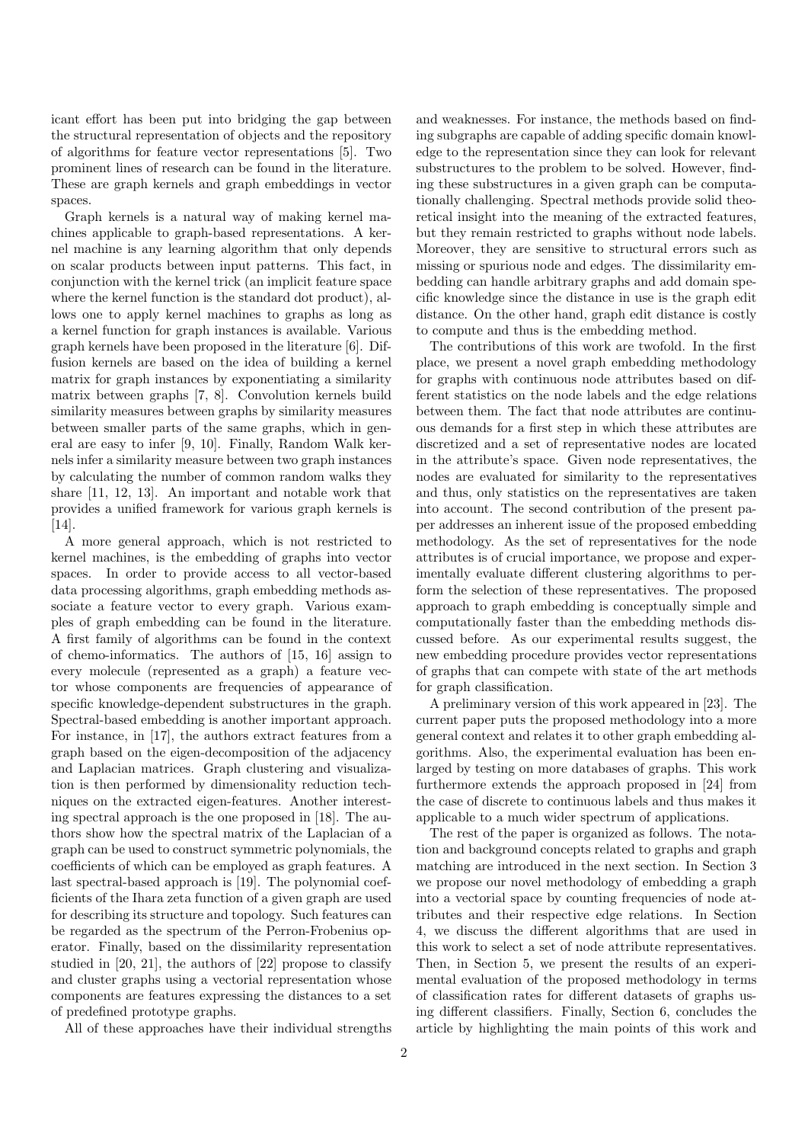icant effort has been put into bridging the gap between the structural representation of objects and the repository of algorithms for feature vector representations [5]. Two prominent lines of research can be found in the literature. These are graph kernels and graph embeddings in vector spaces.

Graph kernels is a natural way of making kernel machines applicable to graph-based representations. A kernel machine is any learning algorithm that only depends on scalar products between input patterns. This fact, in conjunction with the kernel trick (an implicit feature space where the kernel function is the standard dot product), allows one to apply kernel machines to graphs as long as a kernel function for graph instances is available. Various graph kernels have been proposed in the literature [6]. Diffusion kernels are based on the idea of building a kernel matrix for graph instances by exponentiating a similarity matrix between graphs [7, 8]. Convolution kernels build similarity measures between graphs by similarity measures between smaller parts of the same graphs, which in general are easy to infer [9, 10]. Finally, Random Walk kernels infer a similarity measure between two graph instances by calculating the number of common random walks they share [11, 12, 13]. An important and notable work that provides a unified framework for various graph kernels is [14].

A more general approach, which is not restricted to kernel machines, is the embedding of graphs into vector spaces. In order to provide access to all vector-based data processing algorithms, graph embedding methods associate a feature vector to every graph. Various examples of graph embedding can be found in the literature. A first family of algorithms can be found in the context of chemo-informatics. The authors of [15, 16] assign to every molecule (represented as a graph) a feature vector whose components are frequencies of appearance of specific knowledge-dependent substructures in the graph. Spectral-based embedding is another important approach. For instance, in [17], the authors extract features from a graph based on the eigen-decomposition of the adjacency and Laplacian matrices. Graph clustering and visualization is then performed by dimensionality reduction techniques on the extracted eigen-features. Another interesting spectral approach is the one proposed in [18]. The authors show how the spectral matrix of the Laplacian of a graph can be used to construct symmetric polynomials, the coefficients of which can be employed as graph features. A last spectral-based approach is [19]. The polynomial coefficients of the Ihara zeta function of a given graph are used for describing its structure and topology. Such features can be regarded as the spectrum of the Perron-Frobenius operator. Finally, based on the dissimilarity representation studied in [20, 21], the authors of [22] propose to classify and cluster graphs using a vectorial representation whose components are features expressing the distances to a set of predefined prototype graphs.

All of these approaches have their individual strengths

and weaknesses. For instance, the methods based on finding subgraphs are capable of adding specific domain knowledge to the representation since they can look for relevant substructures to the problem to be solved. However, finding these substructures in a given graph can be computationally challenging. Spectral methods provide solid theoretical insight into the meaning of the extracted features, but they remain restricted to graphs without node labels. Moreover, they are sensitive to structural errors such as missing or spurious node and edges. The dissimilarity embedding can handle arbitrary graphs and add domain specific knowledge since the distance in use is the graph edit distance. On the other hand, graph edit distance is costly to compute and thus is the embedding method.

The contributions of this work are twofold. In the first place, we present a novel graph embedding methodology for graphs with continuous node attributes based on different statistics on the node labels and the edge relations between them. The fact that node attributes are continuous demands for a first step in which these attributes are discretized and a set of representative nodes are located in the attribute's space. Given node representatives, the nodes are evaluated for similarity to the representatives and thus, only statistics on the representatives are taken into account. The second contribution of the present paper addresses an inherent issue of the proposed embedding methodology. As the set of representatives for the node attributes is of crucial importance, we propose and experimentally evaluate different clustering algorithms to perform the selection of these representatives. The proposed approach to graph embedding is conceptually simple and computationally faster than the embedding methods discussed before. As our experimental results suggest, the new embedding procedure provides vector representations of graphs that can compete with state of the art methods for graph classification.

A preliminary version of this work appeared in [23]. The current paper puts the proposed methodology into a more general context and relates it to other graph embedding algorithms. Also, the experimental evaluation has been enlarged by testing on more databases of graphs. This work furthermore extends the approach proposed in [24] from the case of discrete to continuous labels and thus makes it applicable to a much wider spectrum of applications.

The rest of the paper is organized as follows. The notation and background concepts related to graphs and graph matching are introduced in the next section. In Section 3 we propose our novel methodology of embedding a graph into a vectorial space by counting frequencies of node attributes and their respective edge relations. In Section 4, we discuss the different algorithms that are used in this work to select a set of node attribute representatives. Then, in Section 5, we present the results of an experimental evaluation of the proposed methodology in terms of classification rates for different datasets of graphs using different classifiers. Finally, Section 6, concludes the article by highlighting the main points of this work and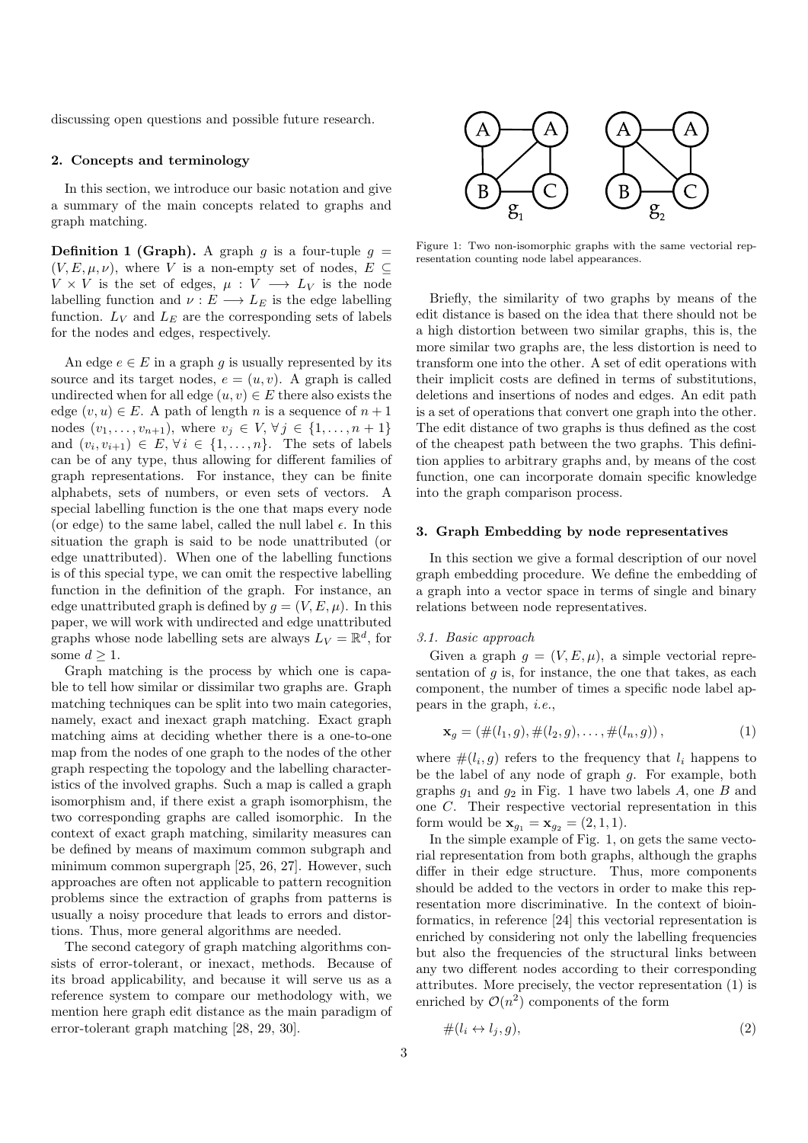discussing open questions and possible future research.

## 2. Concepts and terminology

In this section, we introduce our basic notation and give a summary of the main concepts related to graphs and graph matching.

**Definition 1 (Graph).** A graph g is a four-tuple  $g =$  $(V, E, \mu, \nu)$ , where V is a non-empty set of nodes,  $E \subseteq$  $V \times V$  is the set of edges,  $\mu : V \longrightarrow L_V$  is the node labelling function and  $\nu : E \longrightarrow L_E$  is the edge labelling function.  $L_V$  and  $L_E$  are the corresponding sets of labels for the nodes and edges, respectively.

An edge  $e \in E$  in a graph g is usually represented by its source and its target nodes,  $e = (u, v)$ . A graph is called undirected when for all edge  $(u, v) \in E$  there also exists the edge  $(v, u) \in E$ . A path of length n is a sequence of  $n + 1$ nodes  $(v_1, ..., v_{n+1})$ , where  $v_j \in V$ ,  $\forall j \in \{1, ..., n+1\}$ and  $(v_i, v_{i+1}) \in E, \forall i \in \{1, \ldots, n\}.$  The sets of labels can be of any type, thus allowing for different families of graph representations. For instance, they can be finite alphabets, sets of numbers, or even sets of vectors. A special labelling function is the one that maps every node (or edge) to the same label, called the null label  $\epsilon$ . In this situation the graph is said to be node unattributed (or edge unattributed). When one of the labelling functions is of this special type, we can omit the respective labelling function in the definition of the graph. For instance, an edge unattributed graph is defined by  $q = (V, E, \mu)$ . In this paper, we will work with undirected and edge unattributed graphs whose node labelling sets are always  $L_V = \mathbb{R}^d$ , for some  $d \geq 1$ .

Graph matching is the process by which one is capable to tell how similar or dissimilar two graphs are. Graph matching techniques can be split into two main categories, namely, exact and inexact graph matching. Exact graph matching aims at deciding whether there is a one-to-one map from the nodes of one graph to the nodes of the other graph respecting the topology and the labelling characteristics of the involved graphs. Such a map is called a graph isomorphism and, if there exist a graph isomorphism, the two corresponding graphs are called isomorphic. In the context of exact graph matching, similarity measures can be defined by means of maximum common subgraph and minimum common supergraph [25, 26, 27]. However, such approaches are often not applicable to pattern recognition problems since the extraction of graphs from patterns is usually a noisy procedure that leads to errors and distortions. Thus, more general algorithms are needed.

The second category of graph matching algorithms consists of error-tolerant, or inexact, methods. Because of its broad applicability, and because it will serve us as a reference system to compare our methodology with, we mention here graph edit distance as the main paradigm of error-tolerant graph matching [28, 29, 30].



Figure 1: Two non-isomorphic graphs with the same vectorial representation counting node label appearances.

Briefly, the similarity of two graphs by means of the edit distance is based on the idea that there should not be a high distortion between two similar graphs, this is, the more similar two graphs are, the less distortion is need to transform one into the other. A set of edit operations with their implicit costs are defined in terms of substitutions, deletions and insertions of nodes and edges. An edit path is a set of operations that convert one graph into the other. The edit distance of two graphs is thus defined as the cost of the cheapest path between the two graphs. This definition applies to arbitrary graphs and, by means of the cost function, one can incorporate domain specific knowledge into the graph comparison process.

### 3. Graph Embedding by node representatives

In this section we give a formal description of our novel graph embedding procedure. We define the embedding of a graph into a vector space in terms of single and binary relations between node representatives.

#### 3.1. Basic approach

Given a graph  $g = (V, E, \mu)$ , a simple vectorial representation of  $g$  is, for instance, the one that takes, as each component, the number of times a specific node label appears in the graph, i.e.,

$$
\mathbf{x}_g = (\#(l_1, g), \#(l_2, g), \dots, \#(l_n, g)), \tag{1}
$$

where  $\#(l_i, g)$  refers to the frequency that  $l_i$  happens to be the label of any node of graph g. For example, both graphs  $g_1$  and  $g_2$  in Fig. 1 have two labels A, one B and one C. Their respective vectorial representation in this form would be  $x_{q_1} = x_{q_2} = (2, 1, 1).$ 

In the simple example of Fig. 1, on gets the same vectorial representation from both graphs, although the graphs differ in their edge structure. Thus, more components should be added to the vectors in order to make this representation more discriminative. In the context of bioinformatics, in reference [24] this vectorial representation is enriched by considering not only the labelling frequencies but also the frequencies of the structural links between any two different nodes according to their corresponding attributes. More precisely, the vector representation (1) is enriched by  $\mathcal{O}(n^2)$  components of the form

$$
\#(l_i \leftrightarrow l_j, g),\tag{2}
$$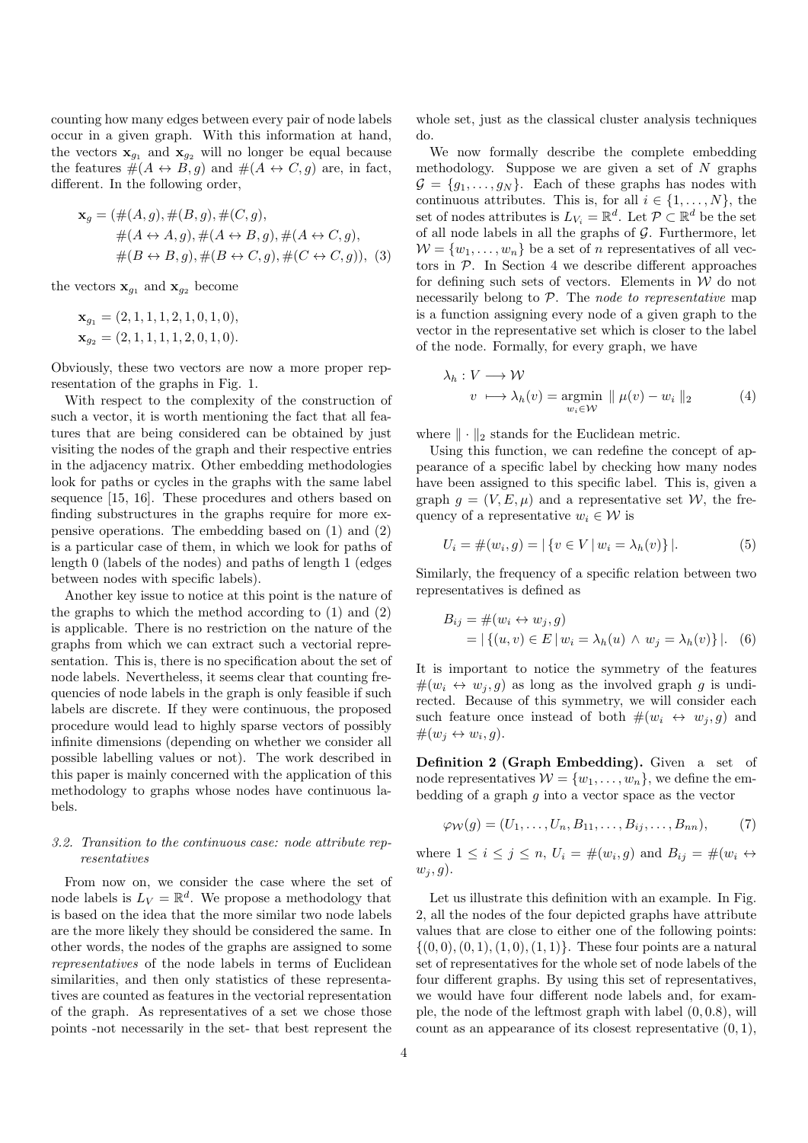counting how many edges between every pair of node labels occur in a given graph. With this information at hand, the vectors  $\mathbf{x}_{g_1}$  and  $\mathbf{x}_{g_2}$  will no longer be equal because the features  $\#(A \leftrightarrow B, g)$  and  $\#(A \leftrightarrow C, g)$  are, in fact, different. In the following order,

$$
\mathbf{x}_g = (\#(A,g), \#(B,g), \#(C,g),
$$
  

$$
\#(A \leftrightarrow A,g), \#(A \leftrightarrow B,g), \#(A \leftrightarrow C,g),
$$
  

$$
\#(B \leftrightarrow B,g), \#(B \leftrightarrow C,g), \#(C \leftrightarrow C,g)),
$$
 (3)

the vectors  $\mathbf{x}_{g_1}$  and  $\mathbf{x}_{g_2}$  become

$$
\mathbf{x}_{g_1} = (2, 1, 1, 1, 2, 1, 0, 1, 0),
$$
  

$$
\mathbf{x}_{g_2} = (2, 1, 1, 1, 1, 2, 0, 1, 0).
$$

Obviously, these two vectors are now a more proper representation of the graphs in Fig. 1.

With respect to the complexity of the construction of such a vector, it is worth mentioning the fact that all features that are being considered can be obtained by just visiting the nodes of the graph and their respective entries in the adjacency matrix. Other embedding methodologies look for paths or cycles in the graphs with the same label sequence [15, 16]. These procedures and others based on finding substructures in the graphs require for more expensive operations. The embedding based on (1) and (2) is a particular case of them, in which we look for paths of length 0 (labels of the nodes) and paths of length 1 (edges between nodes with specific labels).

Another key issue to notice at this point is the nature of the graphs to which the method according to (1) and (2) is applicable. There is no restriction on the nature of the graphs from which we can extract such a vectorial representation. This is, there is no specification about the set of node labels. Nevertheless, it seems clear that counting frequencies of node labels in the graph is only feasible if such labels are discrete. If they were continuous, the proposed procedure would lead to highly sparse vectors of possibly infinite dimensions (depending on whether we consider all possible labelling values or not). The work described in this paper is mainly concerned with the application of this methodology to graphs whose nodes have continuous labels.

# 3.2. Transition to the continuous case: node attribute representatives

From now on, we consider the case where the set of node labels is  $L_V = \mathbb{R}^d$ . We propose a methodology that is based on the idea that the more similar two node labels are the more likely they should be considered the same. In other words, the nodes of the graphs are assigned to some representatives of the node labels in terms of Euclidean similarities, and then only statistics of these representatives are counted as features in the vectorial representation of the graph. As representatives of a set we chose those points -not necessarily in the set- that best represent the

whole set, just as the classical cluster analysis techniques do.

We now formally describe the complete embedding methodology. Suppose we are given a set of  $N$  graphs  $\mathcal{G} = \{g_1, \ldots, g_N\}$ . Each of these graphs has nodes with continuous attributes. This is, for all  $i \in \{1, \ldots, N\}$ , the set of nodes attributes is  $L_{V_i} = \mathbb{R}^d$ . Let  $\mathcal{P} \subset \mathbb{R}^d$  be the set of all node labels in all the graphs of  $G$ . Furthermore, let  $W = \{w_1, \ldots, w_n\}$  be a set of *n* representatives of all vectors in  $P$ . In Section 4 we describe different approaches for defining such sets of vectors. Elements in  $W$  do not necessarily belong to  $P$ . The node to representative map is a function assigning every node of a given graph to the vector in the representative set which is closer to the label of the node. Formally, for every graph, we have

$$
\lambda_h: V \longrightarrow \mathcal{W}
$$
  

$$
v \longrightarrow \lambda_h(v) = \underset{w_i \in \mathcal{W}}{\text{argmin}} \parallel \mu(v) - w_i \parallel_2
$$
 (4)

where  $\|\cdot\|_2$  stands for the Euclidean metric.

Using this function, we can redefine the concept of appearance of a specific label by checking how many nodes have been assigned to this specific label. This is, given a graph  $q = (V, E, \mu)$  and a representative set W, the frequency of a representative  $w_i \in \mathcal{W}$  is

$$
U_i = \#(w_i, g) = |\{v \in V | w_i = \lambda_h(v)\}|.
$$
 (5)

Similarly, the frequency of a specific relation between two representatives is defined as

$$
B_{ij} = #(w_i \leftrightarrow w_j, g) = |\{(u, v) \in E | w_i = \lambda_h(u) \land w_j = \lambda_h(v) \}|.
$$
 (6)

It is important to notice the symmetry of the features  $\#(w_i \leftrightarrow w_i, g)$  as long as the involved graph g is undirected. Because of this symmetry, we will consider each such feature once instead of both  $\#(w_i \leftrightarrow w_j, g)$  and  $#(w_j \leftrightarrow w_i, g).$ 

Definition 2 (Graph Embedding). Given a set of node representatives  $W = \{w_1, \ldots, w_n\}$ , we define the embedding of a graph  $q$  into a vector space as the vector

$$
\varphi_{\mathcal{W}}(g) = (U_1, \dots, U_n, B_{11}, \dots, B_{ij}, \dots, B_{nn}), \qquad (7)
$$

where  $1 \leq i \leq j \leq n$ ,  $U_i = \#(w_i, g)$  and  $B_{ij} = \#(w_i \leftrightarrow w_j)$  $w_i, q$ .

Let us illustrate this definition with an example. In Fig. 2, all the nodes of the four depicted graphs have attribute values that are close to either one of the following points:  $\{(0,0), (0,1), (1,0), (1, 1)\}.$  These four points are a natural set of representatives for the whole set of node labels of the four different graphs. By using this set of representatives, we would have four different node labels and, for example, the node of the leftmost graph with label  $(0, 0.8)$ , will count as an appearance of its closest representative  $(0, 1)$ ,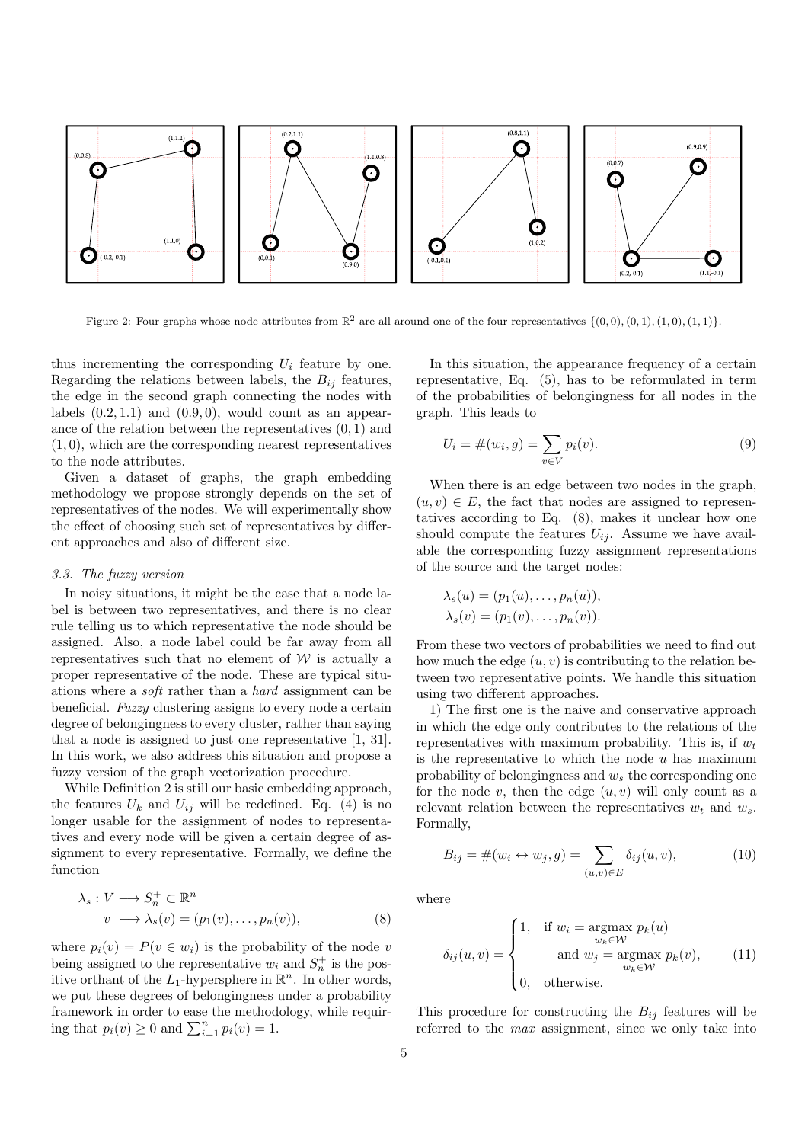

Figure 2: Four graphs whose node attributes from  $\mathbb{R}^2$  are all around one of the four representatives  $\{(0,0), (0,1), (1,0), (1,1)\}$ .

thus incrementing the corresponding  $U_i$  feature by one. Regarding the relations between labels, the  $B_{ij}$  features, the edge in the second graph connecting the nodes with labels  $(0.2, 1.1)$  and  $(0.9, 0)$ , would count as an appearance of the relation between the representatives (0, 1) and  $(1, 0)$ , which are the corresponding nearest representatives to the node attributes.

Given a dataset of graphs, the graph embedding methodology we propose strongly depends on the set of representatives of the nodes. We will experimentally show the effect of choosing such set of representatives by different approaches and also of different size.

### 3.3. The fuzzy version

In noisy situations, it might be the case that a node label is between two representatives, and there is no clear rule telling us to which representative the node should be assigned. Also, a node label could be far away from all representatives such that no element of  $W$  is actually a proper representative of the node. These are typical situations where a soft rather than a hard assignment can be beneficial. Fuzzy clustering assigns to every node a certain degree of belongingness to every cluster, rather than saying that a node is assigned to just one representative [1, 31]. In this work, we also address this situation and propose a fuzzy version of the graph vectorization procedure.

While Definition 2 is still our basic embedding approach, the features  $U_k$  and  $U_{ij}$  will be redefined. Eq. (4) is no longer usable for the assignment of nodes to representatives and every node will be given a certain degree of assignment to every representative. Formally, we define the function

$$
\lambda_s: V \longrightarrow S_n^+ \subset \mathbb{R}^n
$$
  

$$
v \longrightarrow \lambda_s(v) = (p_1(v), \dots, p_n(v)),
$$
 (8)

where  $p_i(v) = P(v \in w_i)$  is the probability of the node v being assigned to the representative  $w_i$  and  $S_n^+$  is the positive orthant of the  $L_1$ -hypersphere in  $\mathbb{R}^n$ . In other words, we put these degrees of belongingness under a probability framework in order to ease the methodology, while requiring that  $p_i(v) \geq 0$  and  $\sum_{i=1}^n p_i(v) = 1$ .

In this situation, the appearance frequency of a certain representative, Eq. (5), has to be reformulated in term of the probabilities of belongingness for all nodes in the graph. This leads to

$$
U_i = \#(w_i, g) = \sum_{v \in V} p_i(v).
$$
 (9)

When there is an edge between two nodes in the graph,  $(u, v) \in E$ , the fact that nodes are assigned to representatives according to Eq. (8), makes it unclear how one should compute the features  $U_{ij}$ . Assume we have available the corresponding fuzzy assignment representations of the source and the target nodes:

$$
\lambda_s(u) = (p_1(u), \dots, p_n(u)),
$$
  

$$
\lambda_s(v) = (p_1(v), \dots, p_n(v)).
$$

From these two vectors of probabilities we need to find out how much the edge  $(u, v)$  is contributing to the relation between two representative points. We handle this situation using two different approaches.

1) The first one is the naive and conservative approach in which the edge only contributes to the relations of the representatives with maximum probability. This is, if  $w_t$ is the representative to which the node  $u$  has maximum probability of belongingness and  $w_s$  the corresponding one for the node  $v$ , then the edge  $(u, v)$  will only count as a relevant relation between the representatives  $w_t$  and  $w_s$ . Formally,

$$
B_{ij} = \#(w_i \leftrightarrow w_j, g) = \sum_{(u,v) \in E} \delta_{ij}(u, v), \tag{10}
$$

where

$$
\delta_{ij}(u,v) = \begin{cases}\n1, & \text{if } w_i = \underset{w_k \in \mathcal{W}}{\operatorname{argmax}} p_k(u) \\
& \text{and } w_j = \underset{w_k \in \mathcal{W}}{\operatorname{argmax}} p_k(v), \\
0, & \text{otherwise.} \n\end{cases}
$$
\n(11)

This procedure for constructing the  $B_{ij}$  features will be referred to the max assignment, since we only take into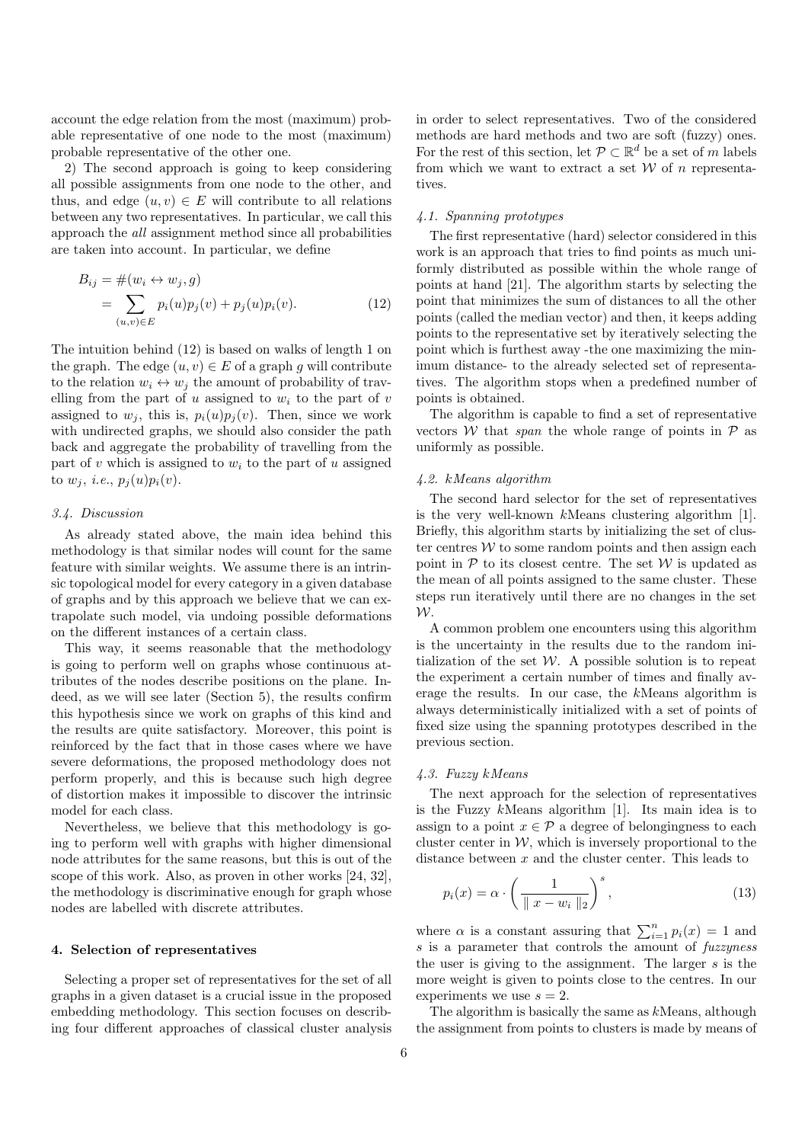account the edge relation from the most (maximum) probable representative of one node to the most (maximum) probable representative of the other one.

2) The second approach is going to keep considering all possible assignments from one node to the other, and thus, and edge  $(u, v) \in E$  will contribute to all relations between any two representatives. In particular, we call this approach the all assignment method since all probabilities are taken into account. In particular, we define

$$
B_{ij} = #(w_i \leftrightarrow w_j, g)
$$
  
= 
$$
\sum_{(u,v)\in E} p_i(u)p_j(v) + p_j(u)p_i(v).
$$
 (12)

The intuition behind (12) is based on walks of length 1 on the graph. The edge  $(u, v) \in E$  of a graph g will contribute to the relation  $w_i \leftrightarrow w_j$  the amount of probability of travelling from the part of u assigned to  $w_i$  to the part of v assigned to  $w_j$ , this is,  $p_i(u)p_j(v)$ . Then, since we work with undirected graphs, we should also consider the path back and aggregate the probability of travelling from the part of v which is assigned to  $w_i$  to the part of u assigned to  $w_j$ , *i.e.*,  $p_j(u)p_i(v)$ .

#### 3.4. Discussion

As already stated above, the main idea behind this methodology is that similar nodes will count for the same feature with similar weights. We assume there is an intrinsic topological model for every category in a given database of graphs and by this approach we believe that we can extrapolate such model, via undoing possible deformations on the different instances of a certain class.

This way, it seems reasonable that the methodology is going to perform well on graphs whose continuous attributes of the nodes describe positions on the plane. Indeed, as we will see later (Section 5), the results confirm this hypothesis since we work on graphs of this kind and the results are quite satisfactory. Moreover, this point is reinforced by the fact that in those cases where we have severe deformations, the proposed methodology does not perform properly, and this is because such high degree of distortion makes it impossible to discover the intrinsic model for each class.

Nevertheless, we believe that this methodology is going to perform well with graphs with higher dimensional node attributes for the same reasons, but this is out of the scope of this work. Also, as proven in other works [24, 32], the methodology is discriminative enough for graph whose nodes are labelled with discrete attributes.

#### 4. Selection of representatives

Selecting a proper set of representatives for the set of all graphs in a given dataset is a crucial issue in the proposed embedding methodology. This section focuses on describing four different approaches of classical cluster analysis in order to select representatives. Two of the considered methods are hard methods and two are soft (fuzzy) ones. For the rest of this section, let  $\mathcal{P} \subset \mathbb{R}^d$  be a set of m labels from which we want to extract a set  $W$  of n representatives.

## 4.1. Spanning prototypes

The first representative (hard) selector considered in this work is an approach that tries to find points as much uniformly distributed as possible within the whole range of points at hand [21]. The algorithm starts by selecting the point that minimizes the sum of distances to all the other points (called the median vector) and then, it keeps adding points to the representative set by iteratively selecting the point which is furthest away -the one maximizing the minimum distance- to the already selected set of representatives. The algorithm stops when a predefined number of points is obtained.

The algorithm is capable to find a set of representative vectors W that *span* the whole range of points in  $\mathcal P$  as uniformly as possible.

#### 4.2. kMeans algorithm

The second hard selector for the set of representatives is the very well-known kMeans clustering algorithm [1]. Briefly, this algorithm starts by initializing the set of cluster centres  $W$  to some random points and then assign each point in  $\mathcal P$  to its closest centre. The set  $\mathcal W$  is updated as the mean of all points assigned to the same cluster. These steps run iteratively until there are no changes in the set  $W$ .

A common problem one encounters using this algorithm is the uncertainty in the results due to the random initialization of the set  $W$ . A possible solution is to repeat the experiment a certain number of times and finally average the results. In our case, the kMeans algorithm is always deterministically initialized with a set of points of fixed size using the spanning prototypes described in the previous section.

#### 4.3. Fuzzy kMeans

The next approach for the selection of representatives is the Fuzzy kMeans algorithm [1]. Its main idea is to assign to a point  $x \in \mathcal{P}$  a degree of belongingness to each cluster center in  $W$ , which is inversely proportional to the distance between  $x$  and the cluster center. This leads to

$$
p_i(x) = \alpha \cdot \left(\frac{1}{\|x - w_i\|_2}\right)^s, \tag{13}
$$

where  $\alpha$  is a constant assuring that  $\sum_{i=1}^{n} p_i(x) = 1$  and s is a parameter that controls the amount of fuzzyness the user is giving to the assignment. The larger s is the more weight is given to points close to the centres. In our experiments we use  $s = 2$ .

The algorithm is basically the same as kMeans, although the assignment from points to clusters is made by means of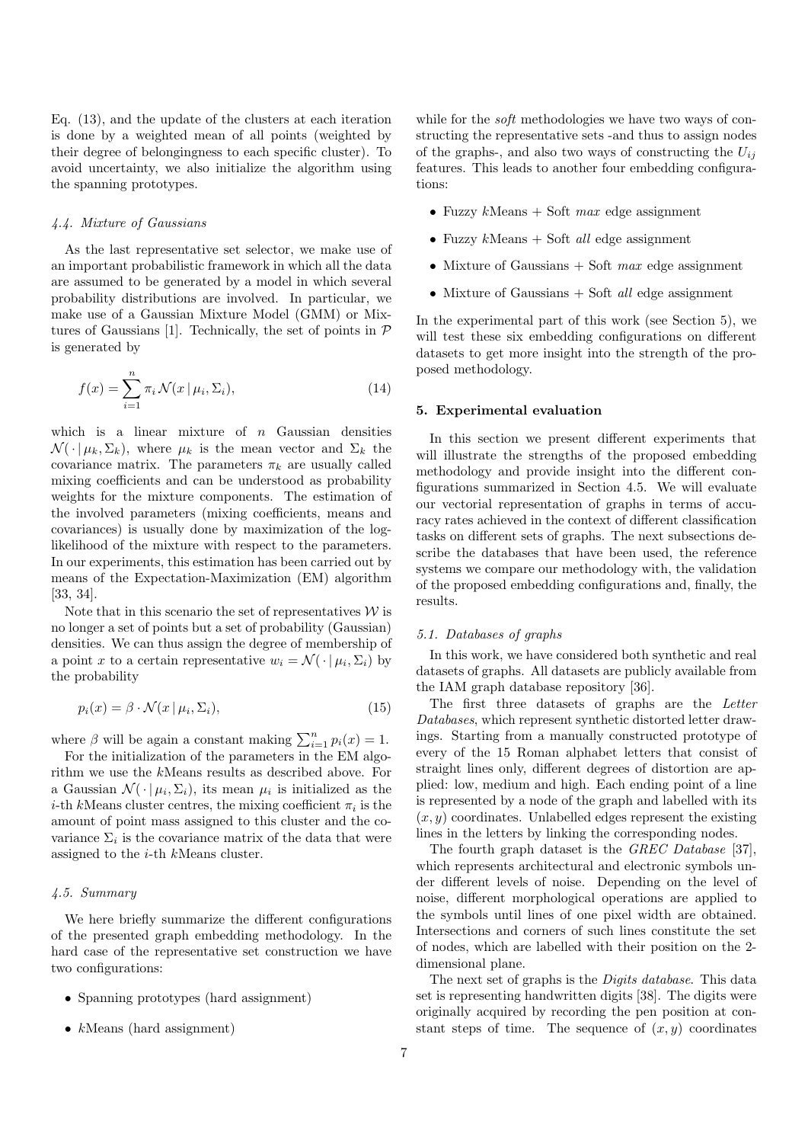Eq. (13), and the update of the clusters at each iteration is done by a weighted mean of all points (weighted by their degree of belongingness to each specific cluster). To avoid uncertainty, we also initialize the algorithm using the spanning prototypes.

#### 4.4. Mixture of Gaussians

As the last representative set selector, we make use of an important probabilistic framework in which all the data are assumed to be generated by a model in which several probability distributions are involved. In particular, we make use of a Gaussian Mixture Model (GMM) or Mixtures of Gaussians [1]. Technically, the set of points in  $P$ is generated by

$$
f(x) = \sum_{i=1}^{n} \pi_i \mathcal{N}(x \mid \mu_i, \Sigma_i), \tag{14}
$$

which is a linear mixture of  $n$  Gaussian densities  $\mathcal{N}(\cdot | \mu_k, \Sigma_k)$ , where  $\mu_k$  is the mean vector and  $\Sigma_k$  the covariance matrix. The parameters  $\pi_k$  are usually called mixing coefficients and can be understood as probability weights for the mixture components. The estimation of the involved parameters (mixing coefficients, means and covariances) is usually done by maximization of the loglikelihood of the mixture with respect to the parameters. In our experiments, this estimation has been carried out by means of the Expectation-Maximization (EM) algorithm [33, 34].

Note that in this scenario the set of representatives  $W$  is no longer a set of points but a set of probability (Gaussian) densities. We can thus assign the degree of membership of a point x to a certain representative  $w_i = \mathcal{N}(\cdot | \mu_i, \Sigma_i)$  by the probability

$$
p_i(x) = \beta \cdot \mathcal{N}(x \mid \mu_i, \Sigma_i), \tag{15}
$$

where  $\beta$  will be again a constant making  $\sum_{i=1}^{n} p_i(x) = 1$ .

For the initialization of the parameters in the EM algorithm we use the kMeans results as described above. For a Gaussian  $\mathcal{N}(\cdot | \mu_i, \Sigma_i)$ , its mean  $\mu_i$  is initialized as the *i*-th kMeans cluster centres, the mixing coefficient  $\pi_i$  is the amount of point mass assigned to this cluster and the covariance  $\Sigma_i$  is the covariance matrix of the data that were assigned to the i-th kMeans cluster.

# 4.5. Summary

We here briefly summarize the different configurations of the presented graph embedding methodology. In the hard case of the representative set construction we have two configurations:

- Spanning prototypes (hard assignment)
- $k$ Means (hard assignment)

while for the *soft* methodologies we have two ways of constructing the representative sets -and thus to assign nodes of the graphs-, and also two ways of constructing the  $U_{ij}$ features. This leads to another four embedding configurations:

- Fuzzy  $k$ Means + Soft max edge assignment
- Fuzzy  $k$ Means + Soft *all* edge assignment
- Mixture of Gaussians  $+$  Soft max edge assignment
- Mixture of Gaussians  $+$  Soft *all* edge assignment

In the experimental part of this work (see Section 5), we will test these six embedding configurations on different datasets to get more insight into the strength of the proposed methodology.

#### 5. Experimental evaluation

In this section we present different experiments that will illustrate the strengths of the proposed embedding methodology and provide insight into the different configurations summarized in Section 4.5. We will evaluate our vectorial representation of graphs in terms of accuracy rates achieved in the context of different classification tasks on different sets of graphs. The next subsections describe the databases that have been used, the reference systems we compare our methodology with, the validation of the proposed embedding configurations and, finally, the results.

#### 5.1. Databases of graphs

In this work, we have considered both synthetic and real datasets of graphs. All datasets are publicly available from the IAM graph database repository [36].

The first three datasets of graphs are the Letter Databases, which represent synthetic distorted letter drawings. Starting from a manually constructed prototype of every of the 15 Roman alphabet letters that consist of straight lines only, different degrees of distortion are applied: low, medium and high. Each ending point of a line is represented by a node of the graph and labelled with its  $(x, y)$  coordinates. Unlabelled edges represent the existing lines in the letters by linking the corresponding nodes.

The fourth graph dataset is the GREC Database [37], which represents architectural and electronic symbols under different levels of noise. Depending on the level of noise, different morphological operations are applied to the symbols until lines of one pixel width are obtained. Intersections and corners of such lines constitute the set of nodes, which are labelled with their position on the 2 dimensional plane.

The next set of graphs is the Digits database. This data set is representing handwritten digits [38]. The digits were originally acquired by recording the pen position at constant steps of time. The sequence of  $(x, y)$  coordinates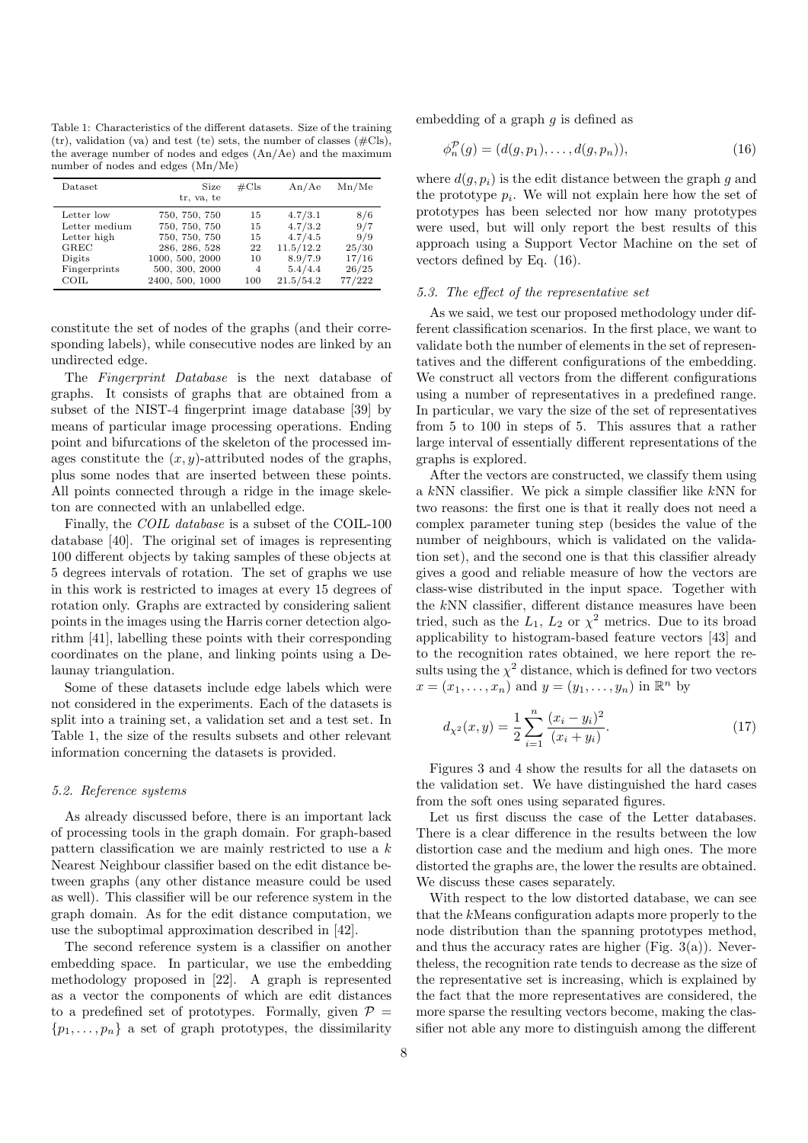Table 1: Characteristics of the different datasets. Size of the training  $(tr)$ , validation (va) and test (te) sets, the number of classes ( $\#Cls$ ), the average number of nodes and edges (An/Ae) and the maximum number of nodes and edges (Mn/Me)

| <b>Dataset</b> | Size<br>tr, va, te | $\#\mathrm{Cls}$ | An/Ae     | Mn/Me  |
|----------------|--------------------|------------------|-----------|--------|
| Letter low     | 750, 750, 750      | 15               | 4.7/3.1   | 8/6    |
| Letter medium  | 750, 750, 750      | 15               | 4.7/3.2   | 9/7    |
| Letter high    | 750, 750, 750      | 15               | 4.7/4.5   | 9/9    |
| GREC           | 286, 286, 528      | 22               | 11.5/12.2 | 25/30  |
| Digits         | 1000, 500, 2000    | 10               | 8.9/7.9   | 17/16  |
| Fingerprints   | 500, 300, 2000     | $\overline{4}$   | 5.4/4.4   | 26/25  |
| COIL           | 2400, 500, 1000    | 100              | 21.5/54.2 | 77/222 |

constitute the set of nodes of the graphs (and their corresponding labels), while consecutive nodes are linked by an undirected edge.

The Fingerprint Database is the next database of graphs. It consists of graphs that are obtained from a subset of the NIST-4 fingerprint image database [39] by means of particular image processing operations. Ending point and bifurcations of the skeleton of the processed images constitute the  $(x, y)$ -attributed nodes of the graphs, plus some nodes that are inserted between these points. All points connected through a ridge in the image skeleton are connected with an unlabelled edge.

Finally, the COIL database is a subset of the COIL-100 database [40]. The original set of images is representing 100 different objects by taking samples of these objects at 5 degrees intervals of rotation. The set of graphs we use in this work is restricted to images at every 15 degrees of rotation only. Graphs are extracted by considering salient points in the images using the Harris corner detection algorithm [41], labelling these points with their corresponding coordinates on the plane, and linking points using a Delaunay triangulation.

Some of these datasets include edge labels which were not considered in the experiments. Each of the datasets is split into a training set, a validation set and a test set. In Table 1, the size of the results subsets and other relevant information concerning the datasets is provided.

#### 5.2. Reference systems

As already discussed before, there is an important lack of processing tools in the graph domain. For graph-based pattern classification we are mainly restricted to use a k Nearest Neighbour classifier based on the edit distance between graphs (any other distance measure could be used as well). This classifier will be our reference system in the graph domain. As for the edit distance computation, we use the suboptimal approximation described in [42].

The second reference system is a classifier on another embedding space. In particular, we use the embedding methodology proposed in [22]. A graph is represented as a vector the components of which are edit distances to a predefined set of prototypes. Formally, given  $P =$  $\{p_1, \ldots, p_n\}$  a set of graph prototypes, the dissimilarity

embedding of a graph  $g$  is defined as

$$
\phi_n^{\mathcal{P}}(g) = (d(g, p_1), \dots, d(g, p_n)), \tag{16}
$$

where  $d(q, p_i)$  is the edit distance between the graph g and the prototype  $p_i$ . We will not explain here how the set of prototypes has been selected nor how many prototypes were used, but will only report the best results of this approach using a Support Vector Machine on the set of vectors defined by Eq. (16).

#### 5.3. The effect of the representative set

As we said, we test our proposed methodology under different classification scenarios. In the first place, we want to validate both the number of elements in the set of representatives and the different configurations of the embedding. We construct all vectors from the different configurations using a number of representatives in a predefined range. In particular, we vary the size of the set of representatives from 5 to 100 in steps of 5. This assures that a rather large interval of essentially different representations of the graphs is explored.

After the vectors are constructed, we classify them using a kNN classifier. We pick a simple classifier like kNN for two reasons: the first one is that it really does not need a complex parameter tuning step (besides the value of the number of neighbours, which is validated on the validation set), and the second one is that this classifier already gives a good and reliable measure of how the vectors are class-wise distributed in the input space. Together with the kNN classifier, different distance measures have been tried, such as the  $L_1$ ,  $L_2$  or  $\chi^2$  metrics. Due to its broad applicability to histogram-based feature vectors [43] and to the recognition rates obtained, we here report the results using the  $\chi^2$  distance, which is defined for two vectors  $x = (x_1, \ldots, x_n)$  and  $y = (y_1, \ldots, y_n)$  in  $\mathbb{R}^n$  by

$$
d_{\chi^2}(x,y) = \frac{1}{2} \sum_{i=1}^n \frac{(x_i - y_i)^2}{(x_i + y_i)}.
$$
\n(17)

Figures 3 and 4 show the results for all the datasets on the validation set. We have distinguished the hard cases from the soft ones using separated figures.

Let us first discuss the case of the Letter databases. There is a clear difference in the results between the low distortion case and the medium and high ones. The more distorted the graphs are, the lower the results are obtained. We discuss these cases separately.

With respect to the low distorted database, we can see that the kMeans configuration adapts more properly to the node distribution than the spanning prototypes method, and thus the accuracy rates are higher (Fig.  $3(a)$ ). Nevertheless, the recognition rate tends to decrease as the size of the representative set is increasing, which is explained by the fact that the more representatives are considered, the more sparse the resulting vectors become, making the classifier not able any more to distinguish among the different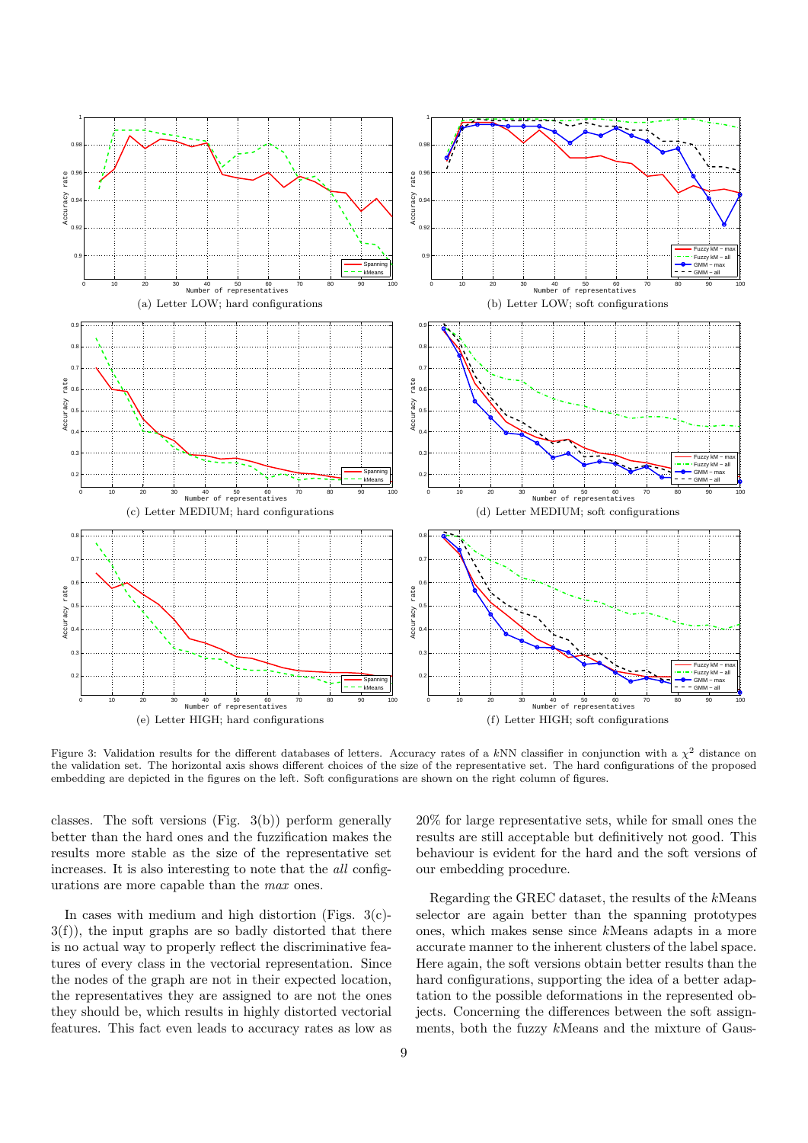

Figure 3: Validation results for the different databases of letters. Accuracy rates of a kNN classifier in conjunction with a  $\chi^2$  distance on the validation set. The horizontal axis shows different choices of the size of the representative set. The hard configurations of the proposed embedding are depicted in the figures on the left. Soft configurations are shown on the right column of figures.

classes. The soft versions (Fig. 3(b)) perform generally better than the hard ones and the fuzzification makes the results more stable as the size of the representative set increases. It is also interesting to note that the all configurations are more capable than the max ones.

In cases with medium and high distortion (Figs.  $3(c)$ )- $3(f)$ , the input graphs are so badly distorted that there is no actual way to properly reflect the discriminative features of every class in the vectorial representation. Since the nodes of the graph are not in their expected location, the representatives they are assigned to are not the ones they should be, which results in highly distorted vectorial features. This fact even leads to accuracy rates as low as

20% for large representative sets, while for small ones the results are still acceptable but definitively not good. This behaviour is evident for the hard and the soft versions of our embedding procedure.

Regarding the GREC dataset, the results of the kMeans selector are again better than the spanning prototypes ones, which makes sense since kMeans adapts in a more accurate manner to the inherent clusters of the label space. Here again, the soft versions obtain better results than the hard configurations, supporting the idea of a better adaptation to the possible deformations in the represented objects. Concerning the differences between the soft assignments, both the fuzzy kMeans and the mixture of Gaus-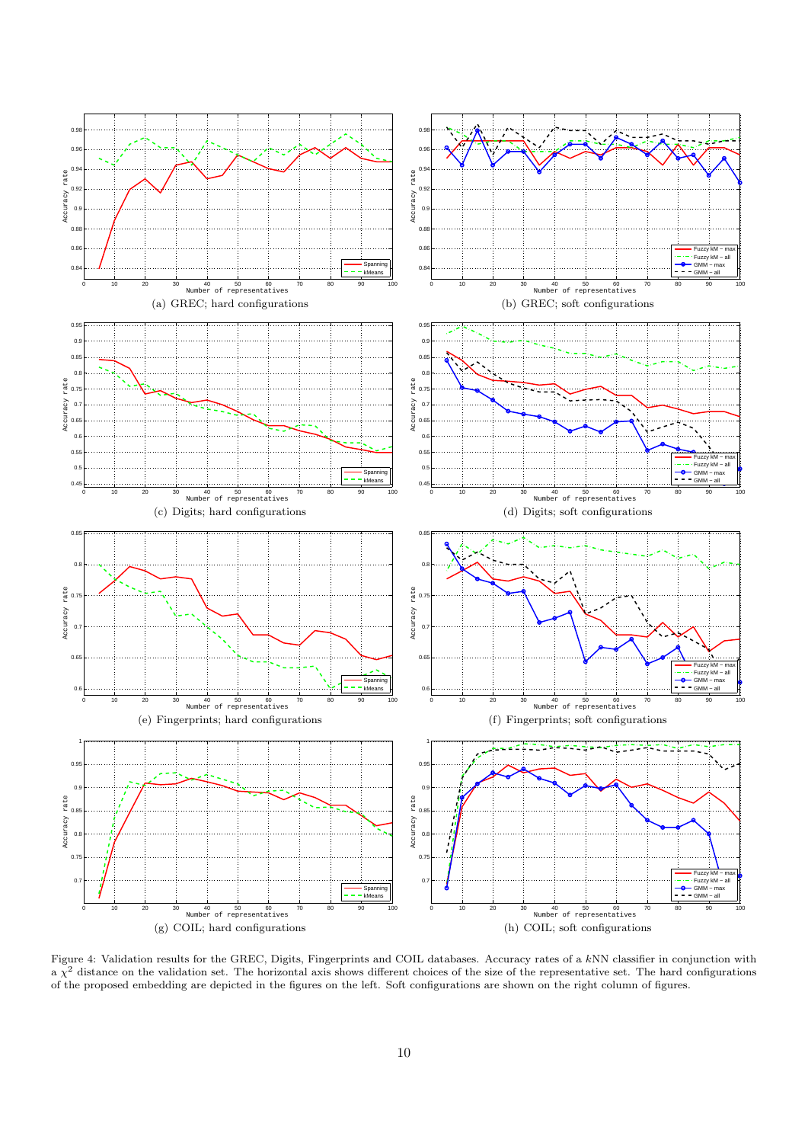

Figure 4: Validation results for the GREC, Digits, Fingerprints and COIL databases. Accuracy rates of a kNN classifier in conjunction with  $a \chi^2$  distance on the validation set. The horizontal axis shows different choices of the size of the representative set. The hard configurations of the proposed embedding are depicted in the figures on the left. Soft configurations are shown on the right column of figures.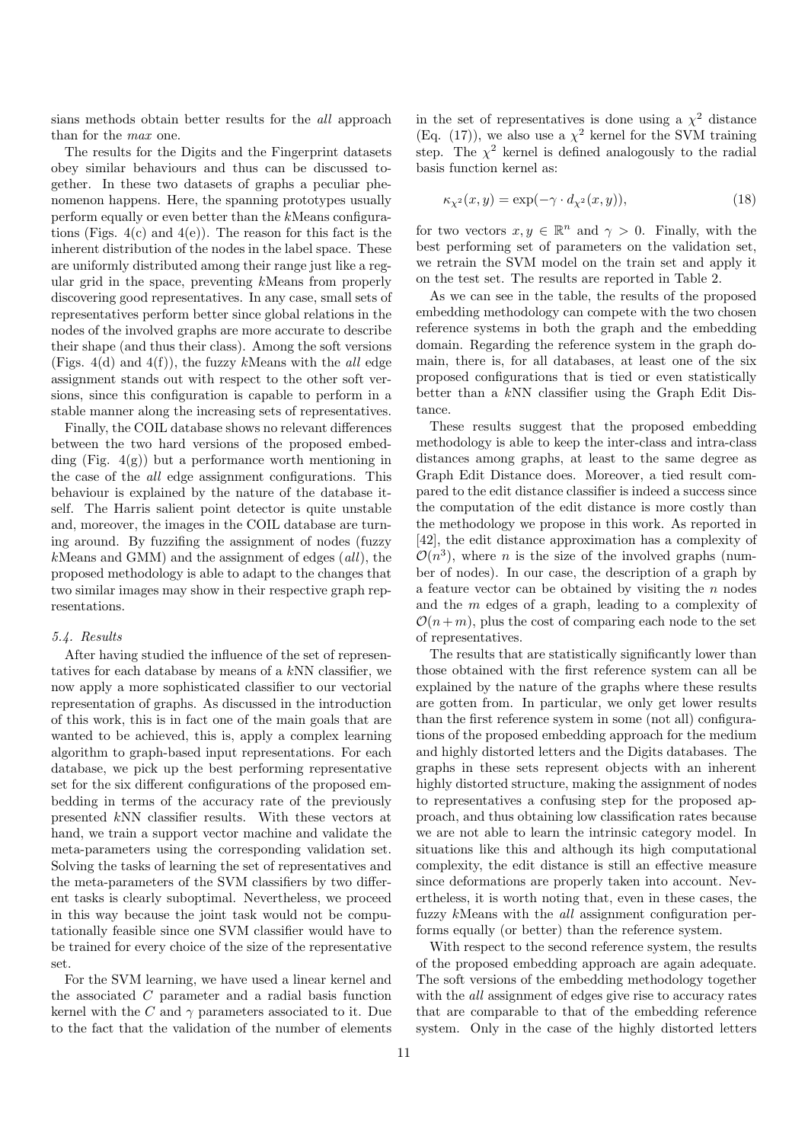sians methods obtain better results for the all approach than for the max one.

The results for the Digits and the Fingerprint datasets obey similar behaviours and thus can be discussed together. In these two datasets of graphs a peculiar phenomenon happens. Here, the spanning prototypes usually perform equally or even better than the kMeans configurations (Figs.  $4(c)$  and  $4(e)$ ). The reason for this fact is the inherent distribution of the nodes in the label space. These are uniformly distributed among their range just like a regular grid in the space, preventing kMeans from properly discovering good representatives. In any case, small sets of representatives perform better since global relations in the nodes of the involved graphs are more accurate to describe their shape (and thus their class). Among the soft versions (Figs. 4(d) and 4(f)), the fuzzy kMeans with the all edge assignment stands out with respect to the other soft versions, since this configuration is capable to perform in a stable manner along the increasing sets of representatives.

Finally, the COIL database shows no relevant differences between the two hard versions of the proposed embedding (Fig.  $4(g)$ ) but a performance worth mentioning in the case of the all edge assignment configurations. This behaviour is explained by the nature of the database itself. The Harris salient point detector is quite unstable and, moreover, the images in the COIL database are turning around. By fuzzifing the assignment of nodes (fuzzy  $k$ Means and GMM) and the assignment of edges  $\left(\frac{all}{k}\right)$ , the proposed methodology is able to adapt to the changes that two similar images may show in their respective graph representations.

### 5.4. Results

After having studied the influence of the set of representatives for each database by means of a kNN classifier, we now apply a more sophisticated classifier to our vectorial representation of graphs. As discussed in the introduction of this work, this is in fact one of the main goals that are wanted to be achieved, this is, apply a complex learning algorithm to graph-based input representations. For each database, we pick up the best performing representative set for the six different configurations of the proposed embedding in terms of the accuracy rate of the previously presented kNN classifier results. With these vectors at hand, we train a support vector machine and validate the meta-parameters using the corresponding validation set. Solving the tasks of learning the set of representatives and the meta-parameters of the SVM classifiers by two different tasks is clearly suboptimal. Nevertheless, we proceed in this way because the joint task would not be computationally feasible since one SVM classifier would have to be trained for every choice of the size of the representative set.

For the SVM learning, we have used a linear kernel and the associated C parameter and a radial basis function kernel with the C and  $\gamma$  parameters associated to it. Due to the fact that the validation of the number of elements

in the set of representatives is done using a  $\chi^2$  distance (Eq. (17)), we also use a  $\chi^2$  kernel for the SVM training step. The  $\chi^2$  kernel is defined analogously to the radial basis function kernel as:

$$
\kappa_{\chi^2}(x, y) = \exp(-\gamma \cdot d_{\chi^2}(x, y)),\tag{18}
$$

for two vectors  $x, y \in \mathbb{R}^n$  and  $\gamma > 0$ . Finally, with the best performing set of parameters on the validation set, we retrain the SVM model on the train set and apply it on the test set. The results are reported in Table 2.

As we can see in the table, the results of the proposed embedding methodology can compete with the two chosen reference systems in both the graph and the embedding domain. Regarding the reference system in the graph domain, there is, for all databases, at least one of the six proposed configurations that is tied or even statistically better than a kNN classifier using the Graph Edit Distance.

These results suggest that the proposed embedding methodology is able to keep the inter-class and intra-class distances among graphs, at least to the same degree as Graph Edit Distance does. Moreover, a tied result compared to the edit distance classifier is indeed a success since the computation of the edit distance is more costly than the methodology we propose in this work. As reported in [42], the edit distance approximation has a complexity of  $\mathcal{O}(n^3)$ , where *n* is the size of the involved graphs (number of nodes). In our case, the description of a graph by a feature vector can be obtained by visiting the n nodes and the m edges of a graph, leading to a complexity of  $\mathcal{O}(n+m)$ , plus the cost of comparing each node to the set of representatives.

The results that are statistically significantly lower than those obtained with the first reference system can all be explained by the nature of the graphs where these results are gotten from. In particular, we only get lower results than the first reference system in some (not all) configurations of the proposed embedding approach for the medium and highly distorted letters and the Digits databases. The graphs in these sets represent objects with an inherent highly distorted structure, making the assignment of nodes to representatives a confusing step for the proposed approach, and thus obtaining low classification rates because we are not able to learn the intrinsic category model. In situations like this and although its high computational complexity, the edit distance is still an effective measure since deformations are properly taken into account. Nevertheless, it is worth noting that, even in these cases, the fuzzy kMeans with the all assignment configuration performs equally (or better) than the reference system.

With respect to the second reference system, the results of the proposed embedding approach are again adequate. The soft versions of the embedding methodology together with the *all* assignment of edges give rise to accuracy rates that are comparable to that of the embedding reference system. Only in the case of the highly distorted letters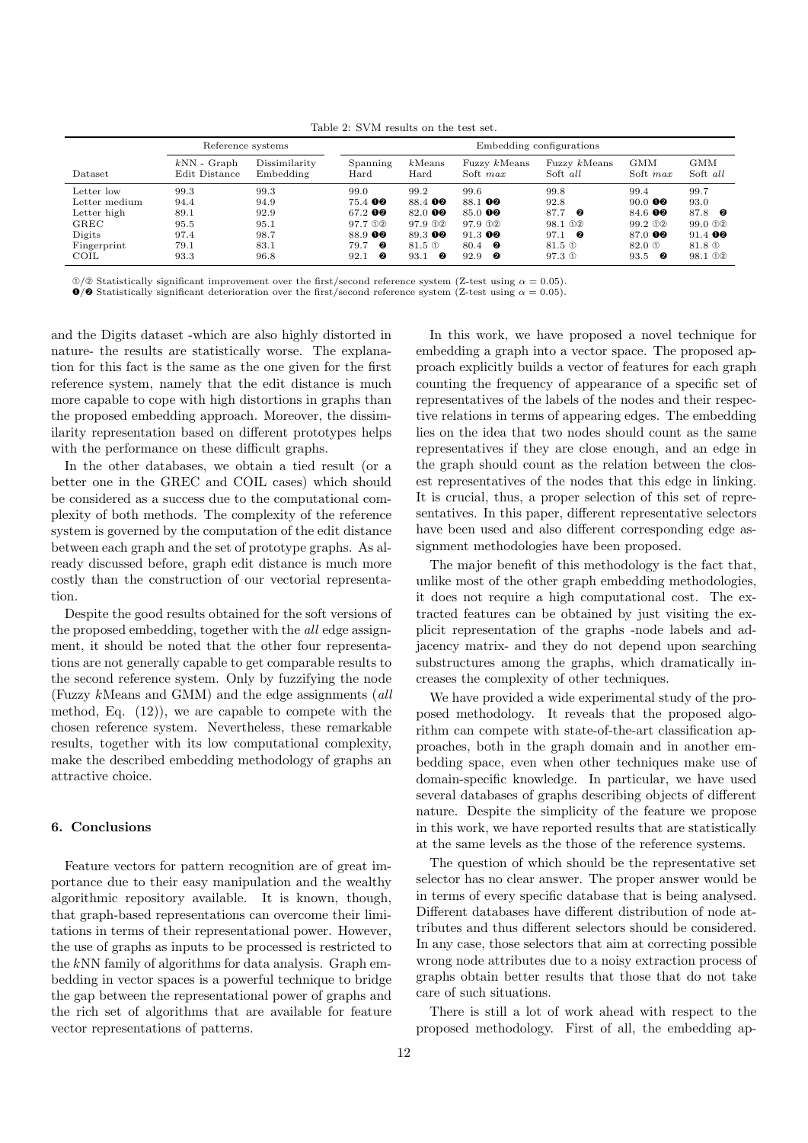Table 2: SVM results on the test set.

|                                                                                     | Reference systems                                    |                                                      | Embedding configurations                                                       |                                                                                                 |                                                                                                |                                                                                         |                                                                                      |                                                                                                                           |  |
|-------------------------------------------------------------------------------------|------------------------------------------------------|------------------------------------------------------|--------------------------------------------------------------------------------|-------------------------------------------------------------------------------------------------|------------------------------------------------------------------------------------------------|-----------------------------------------------------------------------------------------|--------------------------------------------------------------------------------------|---------------------------------------------------------------------------------------------------------------------------|--|
| Dataset                                                                             | $kNN$ - Graph<br>Edit Distance                       | Dissimilarity<br>Embedding                           | Spanning<br>Hard                                                               | $k$ Means<br>Hard                                                                               | Fuzzy kMeans<br>Soft max                                                                       | Fuzzy kMeans<br>Soft all                                                                | <b>GMM</b><br>Soft max                                                               | <b>GMM</b><br>Soft all                                                                                                    |  |
| Letter low<br>Letter medium<br>Letter high<br>GREC<br>Digits<br>Fingerprint<br>COIL | 99.3<br>94.4<br>89.1<br>95.5<br>97.4<br>79.1<br>93.3 | 99.3<br>94.9<br>92.9<br>95.1<br>98.7<br>83.1<br>96.8 | 99.0<br>$75.4$ 00<br>67.2 00<br>97.7 ①2<br>88.9 00<br>- 2<br>79.7<br>0<br>92.1 | 99.2<br>88.4 00<br>82.0 00<br>97.9 <sub>0</sub> 2<br>89.300<br>81.5 <sup>O</sup><br>- 0<br>93.1 | 99.6<br>88.1 00<br>$85.0$ 00<br>97.9 <sub>0</sub><br>$91.3$ 00<br>80.4 <b>@</b><br>92.9<br>- 0 | 99.8<br>92.8<br>87.7<br>- 0<br>98.1 02<br>97.1<br>- 0<br>$81.5\,\mathrm{O}$<br>$97.3$ ① | 99.4<br>$90.0$ 00<br>84.6 00<br>99.2 02<br>87.0 00<br>82.0 <sup>O</sup><br>93.5<br>0 | 99.7<br>93.0<br>87.8 0<br>$99.0 \text{ } \odot \odot$<br>$91.4$ 00<br>81.8 <sup>O</sup><br>98.1 <sub>0</sub> <sup>2</sup> |  |

 $\textcircled{1/2}$  Statistically significant improvement over the first/second reference system (Z-test using  $\alpha = 0.05$ ).

 $\bullet$ / $\bullet$  Statistically significant deterioration over the first/second reference system (Z-test using  $\alpha = 0.05$ ).

and the Digits dataset -which are also highly distorted in nature- the results are statistically worse. The explanation for this fact is the same as the one given for the first reference system, namely that the edit distance is much more capable to cope with high distortions in graphs than the proposed embedding approach. Moreover, the dissimilarity representation based on different prototypes helps with the performance on these difficult graphs.

In the other databases, we obtain a tied result (or a better one in the GREC and COIL cases) which should be considered as a success due to the computational complexity of both methods. The complexity of the reference system is governed by the computation of the edit distance between each graph and the set of prototype graphs. As already discussed before, graph edit distance is much more costly than the construction of our vectorial representation.

Despite the good results obtained for the soft versions of the proposed embedding, together with the all edge assignment, it should be noted that the other four representations are not generally capable to get comparable results to the second reference system. Only by fuzzifying the node (Fuzzy kMeans and GMM) and the edge assignments (all method, Eq. (12)), we are capable to compete with the chosen reference system. Nevertheless, these remarkable results, together with its low computational complexity, make the described embedding methodology of graphs an attractive choice.

# 6. Conclusions

Feature vectors for pattern recognition are of great importance due to their easy manipulation and the wealthy algorithmic repository available. It is known, though, that graph-based representations can overcome their limitations in terms of their representational power. However, the use of graphs as inputs to be processed is restricted to the kNN family of algorithms for data analysis. Graph embedding in vector spaces is a powerful technique to bridge the gap between the representational power of graphs and the rich set of algorithms that are available for feature vector representations of patterns.

In this work, we have proposed a novel technique for embedding a graph into a vector space. The proposed approach explicitly builds a vector of features for each graph counting the frequency of appearance of a specific set of representatives of the labels of the nodes and their respective relations in terms of appearing edges. The embedding lies on the idea that two nodes should count as the same representatives if they are close enough, and an edge in the graph should count as the relation between the closest representatives of the nodes that this edge in linking. It is crucial, thus, a proper selection of this set of representatives. In this paper, different representative selectors have been used and also different corresponding edge assignment methodologies have been proposed.

The major benefit of this methodology is the fact that, unlike most of the other graph embedding methodologies, it does not require a high computational cost. The extracted features can be obtained by just visiting the explicit representation of the graphs -node labels and adjacency matrix- and they do not depend upon searching substructures among the graphs, which dramatically increases the complexity of other techniques.

We have provided a wide experimental study of the proposed methodology. It reveals that the proposed algorithm can compete with state-of-the-art classification approaches, both in the graph domain and in another embedding space, even when other techniques make use of domain-specific knowledge. In particular, we have used several databases of graphs describing objects of different nature. Despite the simplicity of the feature we propose in this work, we have reported results that are statistically at the same levels as the those of the reference systems.

The question of which should be the representative set selector has no clear answer. The proper answer would be in terms of every specific database that is being analysed. Different databases have different distribution of node attributes and thus different selectors should be considered. In any case, those selectors that aim at correcting possible wrong node attributes due to a noisy extraction process of graphs obtain better results that those that do not take care of such situations.

There is still a lot of work ahead with respect to the proposed methodology. First of all, the embedding ap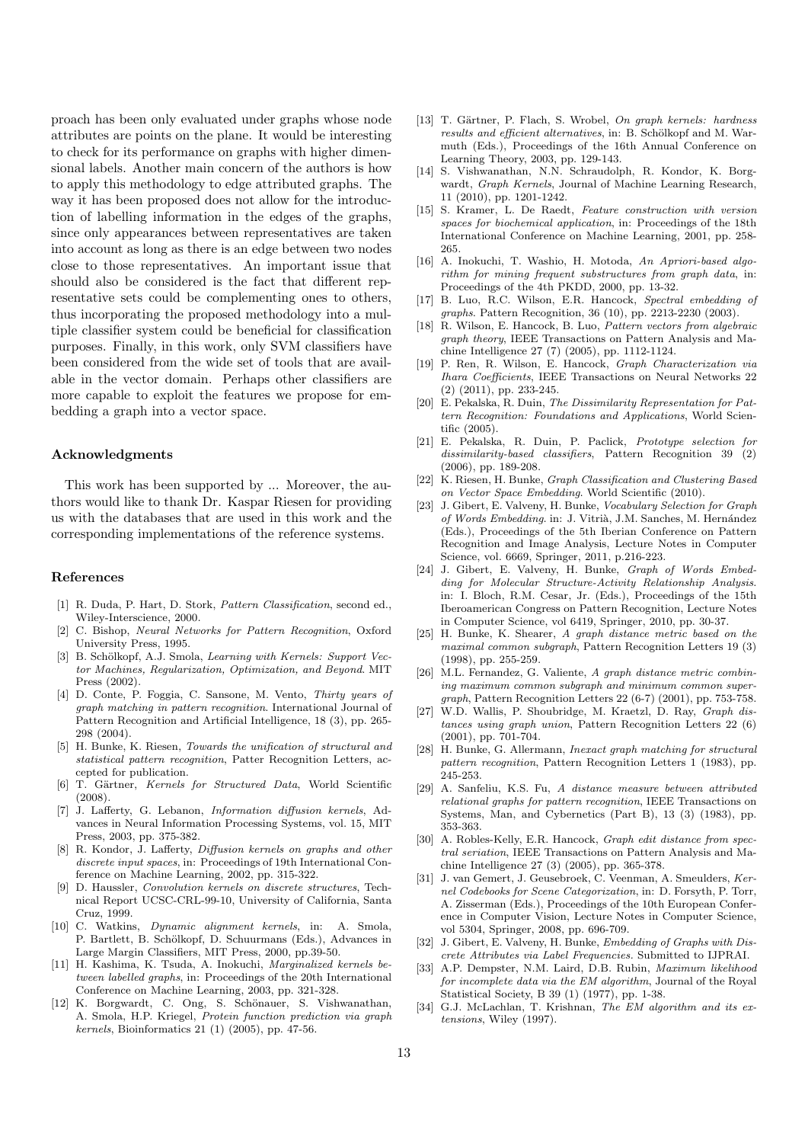proach has been only evaluated under graphs whose node attributes are points on the plane. It would be interesting to check for its performance on graphs with higher dimensional labels. Another main concern of the authors is how to apply this methodology to edge attributed graphs. The way it has been proposed does not allow for the introduction of labelling information in the edges of the graphs, since only appearances between representatives are taken into account as long as there is an edge between two nodes close to those representatives. An important issue that should also be considered is the fact that different representative sets could be complementing ones to others, thus incorporating the proposed methodology into a multiple classifier system could be beneficial for classification purposes. Finally, in this work, only SVM classifiers have been considered from the wide set of tools that are available in the vector domain. Perhaps other classifiers are more capable to exploit the features we propose for embedding a graph into a vector space.

## Acknowledgments

This work has been supported by ... Moreover, the authors would like to thank Dr. Kaspar Riesen for providing us with the databases that are used in this work and the corresponding implementations of the reference systems.

#### References

- [1] R. Duda, P. Hart, D. Stork, Pattern Classification, second ed., Wiley-Interscience, 2000.
- [2] C. Bishop, Neural Networks for Pattern Recognition, Oxford University Press, 1995.
- [3] B. Schölkopf, A.J. Smola, Learning with Kernels: Support Vector Machines, Regularization, Optimization, and Beyond. MIT Press (2002).
- [4] D. Conte, P. Foggia, C. Sansone, M. Vento, Thirty years of graph matching in pattern recognition. International Journal of Pattern Recognition and Artificial Intelligence, 18 (3), pp. 265- 298 (2004).
- [5] H. Bunke, K. Riesen, Towards the unification of structural and statistical pattern recognition, Patter Recognition Letters, accepted for publication.
- [6] T. Gärtner, Kernels for Structured Data, World Scientific (2008).
- [7] J. Lafferty, G. Lebanon, Information diffusion kernels, Advances in Neural Information Processing Systems, vol. 15, MIT Press, 2003, pp. 375-382.
- [8] R. Kondor, J. Lafferty, Diffusion kernels on graphs and other discrete input spaces, in: Proceedings of 19th International Conference on Machine Learning, 2002, pp. 315-322.
- [9] D. Haussler, Convolution kernels on discrete structures, Technical Report UCSC-CRL-99-10, University of California, Santa Cruz, 1999.
- [10] C. Watkins, Dynamic alignment kernels, in: A. Smola, P. Bartlett, B. Schölkopf, D. Schuurmans (Eds.), Advances in Large Margin Classifiers, MIT Press, 2000, pp.39-50.
- [11] H. Kashima, K. Tsuda, A. Inokuchi, Marginalized kernels between labelled graphs, in: Proceedings of the 20th International Conference on Machine Learning, 2003, pp. 321-328.
- [12] K. Borgwardt, C. Ong, S. Schönauer, S. Vishwanathan, A. Smola, H.P. Kriegel, Protein function prediction via graph kernels, Bioinformatics 21 (1) (2005), pp. 47-56.
- [13] T. Gärtner, P. Flach, S. Wrobel, On graph kernels: hardness results and efficient alternatives, in: B. Schölkopf and M. Warmuth (Eds.), Proceedings of the 16th Annual Conference on Learning Theory, 2003, pp. 129-143.
- [14] S. Vishwanathan, N.N. Schraudolph, R. Kondor, K. Borgwardt, Graph Kernels, Journal of Machine Learning Research, 11 (2010), pp. 1201-1242.
- [15] S. Kramer, L. De Raedt, Feature construction with version spaces for biochemical application, in: Proceedings of the 18th International Conference on Machine Learning, 2001, pp. 258- 265.
- [16] A. Inokuchi, T. Washio, H. Motoda, An Apriori-based algorithm for mining frequent substructures from graph data, in: Proceedings of the 4th PKDD, 2000, pp. 13-32.
- [17] B. Luo, R.C. Wilson, E.R. Hancock, Spectral embedding of graphs. Pattern Recognition, 36 (10), pp. 2213-2230 (2003).
- [18] R. Wilson, E. Hancock, B. Luo, Pattern vectors from algebraic graph theory, IEEE Transactions on Pattern Analysis and Machine Intelligence 27 (7) (2005), pp. 1112-1124.
- [19] P. Ren, R. Wilson, E. Hancock, Graph Characterization via Ihara Coefficients, IEEE Transactions on Neural Networks 22 (2) (2011), pp. 233-245.
- [20] E. Pekalska, R. Duin, The Dissimilarity Representation for Pattern Recognition: Foundations and Applications, World Scientific (2005).
- [21] E. Pekalska, R. Duin, P. Paclick, Prototype selection for dissimilarity-based classifiers, Pattern Recognition 39 (2) (2006), pp. 189-208.
- [22] K. Riesen, H. Bunke, Graph Classification and Clustering Based on Vector Space Embedding. World Scientific (2010).
- [23] J. Gibert, E. Valveny, H. Bunke, Vocabulary Selection for Graph of Words Embedding. in: J. Vitrià, J.M. Sanches, M. Hernández (Eds.), Proceedings of the 5th Iberian Conference on Pattern Recognition and Image Analysis, Lecture Notes in Computer Science, vol. 6669, Springer, 2011, p.216-223.
- [24] J. Gibert, E. Valveny, H. Bunke, Graph of Words Embedding for Molecular Structure-Activity Relationship Analysis. in: I. Bloch, R.M. Cesar, Jr. (Eds.), Proceedings of the 15th Iberoamerican Congress on Pattern Recognition, Lecture Notes in Computer Science, vol 6419, Springer, 2010, pp. 30-37.
- [25] H. Bunke, K. Shearer, A graph distance metric based on the maximal common subgraph, Pattern Recognition Letters 19 (3) (1998), pp. 255-259.
- [26] M.L. Fernandez, G. Valiente, A graph distance metric combining maximum common subgraph and minimum common supergraph, Pattern Recognition Letters 22 (6-7) (2001), pp. 753-758.
- [27] W.D. Wallis, P. Shoubridge, M. Kraetzl, D. Ray, Graph distances using graph union, Pattern Recognition Letters 22 (6) (2001), pp. 701-704.
- [28] H. Bunke, G. Allermann, Inexact graph matching for structural pattern recognition, Pattern Recognition Letters 1 (1983), pp. 245-253.
- [29] A. Sanfeliu, K.S. Fu, A distance measure between attributed relational graphs for pattern recognition, IEEE Transactions on Systems, Man, and Cybernetics (Part B), 13 (3) (1983), pp. 353-363.
- [30] A. Robles-Kelly, E.R. Hancock, Graph edit distance from spectral seriation, IEEE Transactions on Pattern Analysis and Machine Intelligence 27 (3) (2005), pp. 365-378.
- [31] J. van Gemert, J. Geusebroek, C. Veenman, A. Smeulders, Kernel Codebooks for Scene Categorization, in: D. Forsyth, P. Torr, A. Zisserman (Eds.), Proceedings of the 10th European Conference in Computer Vision, Lecture Notes in Computer Science, vol 5304, Springer, 2008, pp. 696-709.
- [32] J. Gibert, E. Valveny, H. Bunke, Embedding of Graphs with Discrete Attributes via Label Frequencies. Submitted to IJPRAI.
- [33] A.P. Dempster, N.M. Laird, D.B. Rubin, Maximum likelihood for incomplete data via the EM algorithm, Journal of the Royal Statistical Society, B 39 (1) (1977), pp. 1-38.
- [34] G.J. McLachlan, T. Krishnan, The EM algorithm and its extensions, Wiley (1997).